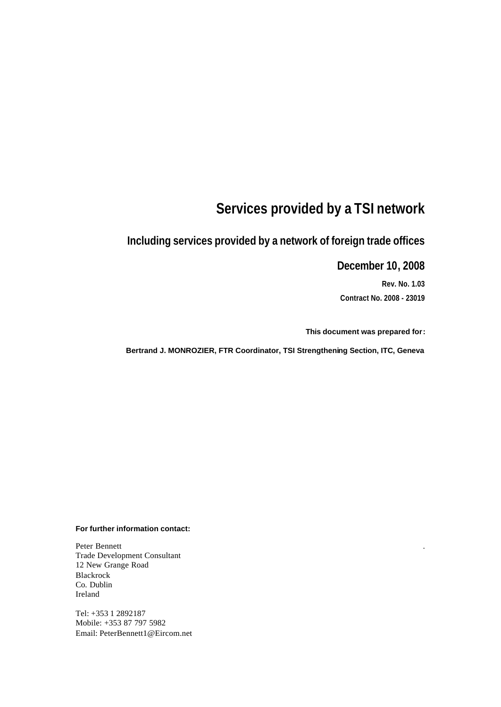# **Services provided by a TSI network**

# **Including services provided by a network of foreign trade offices**

#### **December 10, 2008**

**Rev. No. 1.03 Contract No. 2008 - 23019**

.

**This document was prepared for:**

**Bertrand J. MONROZIER, FTR Coordinator, TSI Strengthening Section, ITC, Geneva**

#### **For further information contact:**

Peter Bennett Trade Development Consultant 12 New Grange Road Blackrock Co. Dublin Ireland

Tel: +353 1 2892187 Mobile: +353 87 797 5982 Email: PeterBennett1@Eircom.net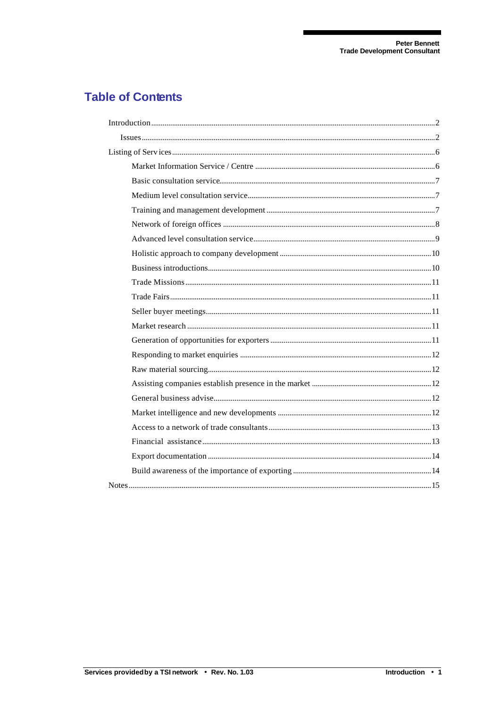## **Table of Contents**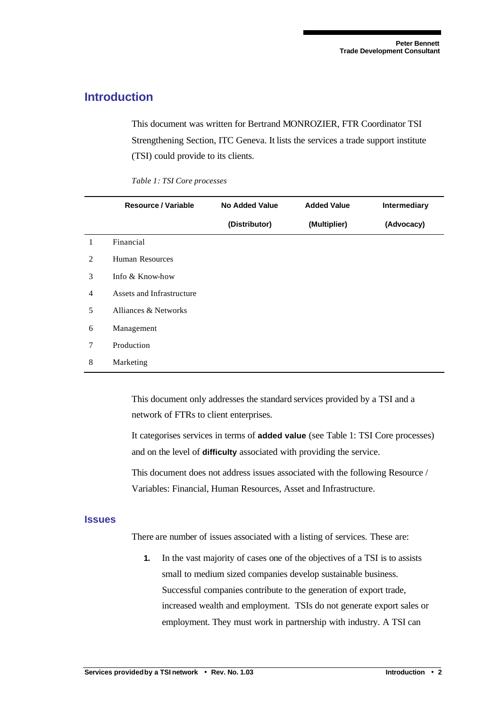#### **Introduction**

This document was written for Bertrand MONROZIER, FTR Coordinator TSI Strengthening Section, ITC Geneva. It lists the services a trade support institute (TSI) could provide to its clients.

*Table 1: TSI Core processes*

|                | Resource / Variable       | <b>No Added Value</b> | <b>Added Value</b> | <b>Intermediary</b> |
|----------------|---------------------------|-----------------------|--------------------|---------------------|
|                |                           | (Distributor)         | (Multiplier)       | (Advocacy)          |
| $\mathbf{1}$   | Financial                 |                       |                    |                     |
| 2              | <b>Human Resources</b>    |                       |                    |                     |
| 3              | Info & Know-how           |                       |                    |                     |
| $\overline{4}$ | Assets and Infrastructure |                       |                    |                     |
| 5              | Alliances & Networks      |                       |                    |                     |
| 6              | Management                |                       |                    |                     |
| $\tau$         | Production                |                       |                    |                     |
| 8              | Marketing                 |                       |                    |                     |

This document only addresses the standard services provided by a TSI and a network of FTRs to client enterprises.

It categorises services in terms of **added value** (see Table 1: TSI Core processes) and on the level of **difficulty** associated with providing the service.

This document does not address issues associated with the following Resource / Variables: Financial, Human Resources, Asset and Infrastructure.

#### **Issues**

There are number of issues associated with a listing of services. These are:

**1.** In the vast majority of cases one of the objectives of a TSI is to assists small to medium sized companies develop sustainable business. Successful companies contribute to the generation of export trade, increased wealth and employment. TSIs do not generate export sales or employment. They must work in partnership with industry. A TSI can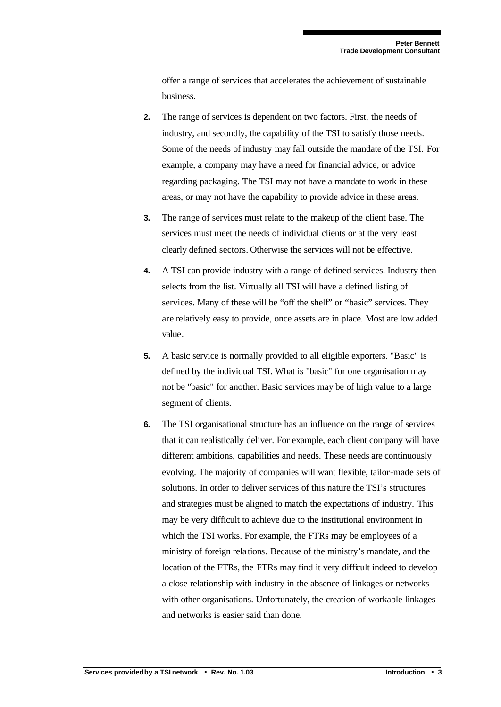offer a range of services that accelerates the achievement of sustainable business.

- **2.** The range of services is dependent on two factors. First, the needs of industry, and secondly, the capability of the TSI to satisfy those needs. Some of the needs of industry may fall outside the mandate of the TSI. For example, a company may have a need for financial advice, or advice regarding packaging. The TSI may not have a mandate to work in these areas, or may not have the capability to provide advice in these areas.
- **3.** The range of services must relate to the makeup of the client base. The services must meet the needs of individual clients or at the very least clearly defined sectors. Otherwise the services will not be effective.
- **4.** A TSI can provide industry with a range of defined services. Industry then selects from the list. Virtually all TSI will have a defined listing of services. Many of these will be "off the shelf" or "basic" services. They are relatively easy to provide, once assets are in place. Most are low added value.
- **5.** A basic service is normally provided to all eligible exporters. "Basic" is defined by the individual TSI. What is "basic" for one organisation may not be "basic" for another. Basic services may be of high value to a large segment of clients.
- **6.** The TSI organisational structure has an influence on the range of services that it can realistically deliver. For example, each client company will have different ambitions, capabilities and needs. These needs are continuously evolving. The majority of companies will want flexible, tailor-made sets of solutions. In order to deliver services of this nature the TSI's structures and strategies must be aligned to match the expectations of industry. This may be very difficult to achieve due to the institutional environment in which the TSI works. For example, the FTRs may be employees of a ministry of foreign rela tions. Because of the ministry's mandate, and the location of the FTRs, the FTRs may find it very difficult indeed to develop a close relationship with industry in the absence of linkages or networks with other organisations. Unfortunately, the creation of workable linkages and networks is easier said than done.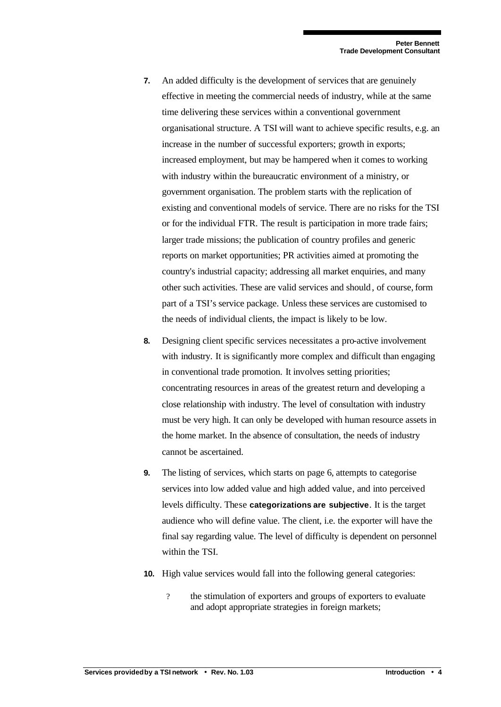- **7.** An added difficulty is the development of services that are genuinely effective in meeting the commercial needs of industry, while at the same time delivering these services within a conventional government organisational structure. A TSI will want to achieve specific results, e.g. an increase in the number of successful exporters; growth in exports; increased employment, but may be hampered when it comes to working with industry within the bureaucratic environment of a ministry, or government organisation. The problem starts with the replication of existing and conventional models of service. There are no risks for the TSI or for the individual FTR. The result is participation in more trade fairs; larger trade missions; the publication of country profiles and generic reports on market opportunities; PR activities aimed at promoting the country's industrial capacity; addressing all market enquiries, and many other such activities. These are valid services and should, of course, form part of a TSI's service package. Unless these services are customised to the needs of individual clients, the impact is likely to be low.
- **8.** Designing client specific services necessitates a pro-active involvement with industry. It is significantly more complex and difficult than engaging in conventional trade promotion. It involves setting priorities; concentrating resources in areas of the greatest return and developing a close relationship with industry. The level of consultation with industry must be very high. It can only be developed with human resource assets in the home market. In the absence of consultation, the needs of industry cannot be ascertained.
- **9.** The listing of services, which starts on page 6, attempts to categorise services into low added value and high added value, and into perceived levels difficulty. These **categorizations are subjective**. It is the target audience who will define value. The client, i.e. the exporter will have the final say regarding value. The level of difficulty is dependent on personnel within the TSI.
- **10.** High value services would fall into the following general categories:
	- ? the stimulation of exporters and groups of exporters to evaluate and adopt appropriate strategies in foreign markets;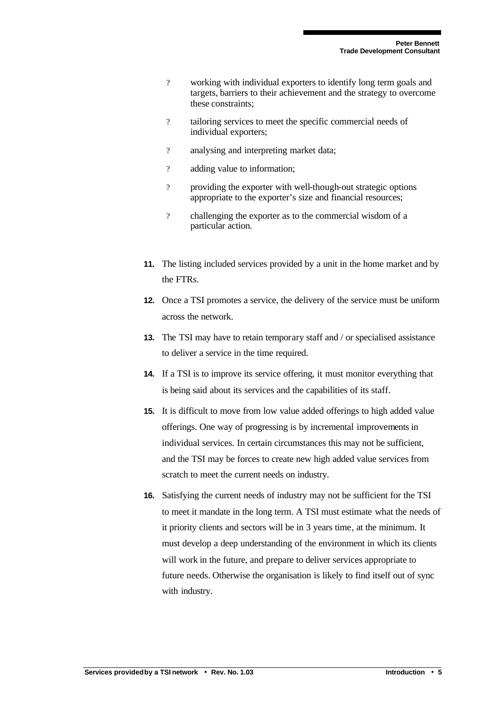- ? working with individual exporters to identify long term goals and targets, barriers to their achievement and the strategy to overcome these constraints;
- ? tailoring services to meet the specific commercial needs of individual exporters;
- ? analysing and interpreting market data;
- ? adding value to information;
- ? providing the exporter with well-though-out strategic options appropriate to the exporter's size and financial resources;
- ? challenging the exporter as to the commercial wisdom of a particular action.
- **11.** The listing included services provided by a unit in the home market and by the FTRs.
- **12.** Once a TSI promotes a service, the delivery of the service must be uniform across the network.
- **13.** The TSI may have to retain temporary staff and / or specialised assistance to deliver a service in the time required.
- **14.** If a TSI is to improve its service offering, it must monitor everything that is being said about its services and the capabilities of its staff.
- **15.** It is difficult to move from low value added offerings to high added value offerings. One way of progressing is by incremental improvements in individual services. In certain circumstances this may not be sufficient, and the TSI may be forces to create new high added value services from scratch to meet the current needs on industry.
- **16.** Satisfying the current needs of industry may not be sufficient for the TSI to meet it mandate in the long term. A TSI must estimate what the needs of it priority clients and sectors will be in 3 years time, at the minimum. It must develop a deep understanding of the environment in which its clients will work in the future, and prepare to deliver services appropriate to future needs. Otherwise the organisation is likely to find itself out of sync with industry.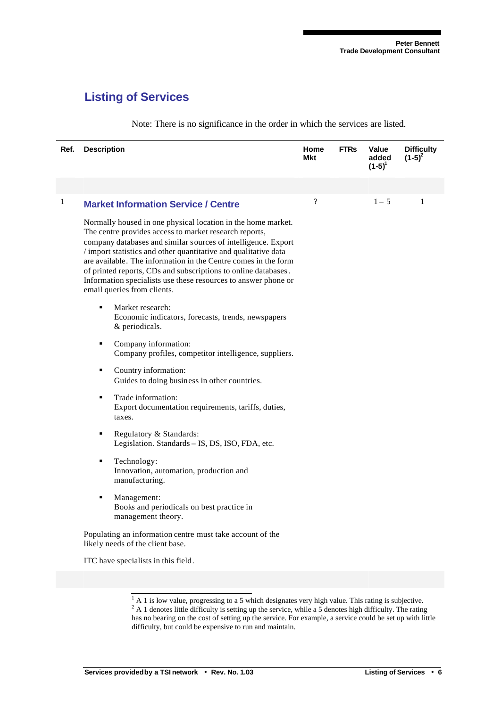### **Listing of Services**

| Ref.         | <b>Description</b>                                                                                                                                                                                                                                                                                                                                                                                                                                                                              | Home<br>Mkt | <b>FTRs</b> | Value<br>added<br>$(1-5)^{1}$ | <b>Difficulty</b><br>$(1-5)^2$ |
|--------------|-------------------------------------------------------------------------------------------------------------------------------------------------------------------------------------------------------------------------------------------------------------------------------------------------------------------------------------------------------------------------------------------------------------------------------------------------------------------------------------------------|-------------|-------------|-------------------------------|--------------------------------|
|              |                                                                                                                                                                                                                                                                                                                                                                                                                                                                                                 |             |             |                               |                                |
| $\mathbf{1}$ | <b>Market Information Service / Centre</b>                                                                                                                                                                                                                                                                                                                                                                                                                                                      | ?           |             | $1 - 5$                       | $\mathbf{1}$                   |
|              | Normally housed in one physical location in the home market.<br>The centre provides access to market research reports,<br>company databases and similar sources of intelligence. Export<br>/ import statistics and other quantitative and qualitative data<br>are available. The information in the Centre comes in the form<br>of printed reports, CDs and subscriptions to online databases.<br>Information specialists use these resources to answer phone or<br>email queries from clients. |             |             |                               |                                |
|              | ٠<br>Market research:<br>Economic indicators, forecasts, trends, newspapers<br>& periodicals.                                                                                                                                                                                                                                                                                                                                                                                                   |             |             |                               |                                |
|              | Company information:<br>٠<br>Company profiles, competitor intelligence, suppliers.                                                                                                                                                                                                                                                                                                                                                                                                              |             |             |                               |                                |
|              | Country information:<br>٠<br>Guides to doing business in other countries.                                                                                                                                                                                                                                                                                                                                                                                                                       |             |             |                               |                                |
|              | Trade information:<br>٠<br>Export documentation requirements, tariffs, duties,<br>taxes.                                                                                                                                                                                                                                                                                                                                                                                                        |             |             |                               |                                |
|              | Regulatory & Standards:<br>٠<br>Legislation. Standards - IS, DS, ISO, FDA, etc.                                                                                                                                                                                                                                                                                                                                                                                                                 |             |             |                               |                                |
|              | Technology:<br>٠<br>Innovation, automation, production and<br>manufacturing.                                                                                                                                                                                                                                                                                                                                                                                                                    |             |             |                               |                                |
|              | ٠<br>Management:<br>Books and periodicals on best practice in<br>management theory.                                                                                                                                                                                                                                                                                                                                                                                                             |             |             |                               |                                |
|              | Populating an information centre must take account of the<br>likely needs of the client base.                                                                                                                                                                                                                                                                                                                                                                                                   |             |             |                               |                                |
|              | ITC have specialists in this field.                                                                                                                                                                                                                                                                                                                                                                                                                                                             |             |             |                               |                                |

Note: There is no significance in the order in which the services are listed.

<sup>&</sup>lt;sup>1</sup> A 1 is low value, progressing to a 5 which designates very high value. This rating is subjective. <sup>2</sup> A 1 denotes little difficulty is setting up the service, while a 5 denotes high difficulty. The rating

has no bearing on the cost of setting up the service. For example, a service could be set up with little difficulty, but could be expensive to run and maintain.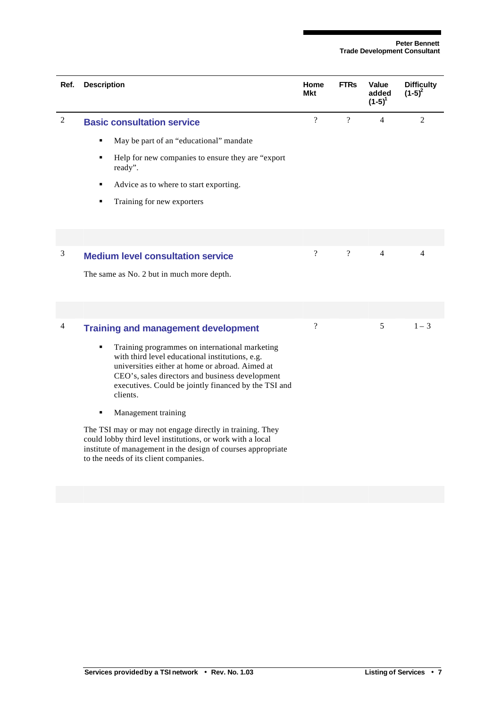| Ref.           | <b>Description</b>                                                                                                                                                                                                                                                               | Home<br>Mkt              | <b>FTRs</b>    | Value<br>added<br>$(1-5)^{1}$ | <b>Difficulty</b><br>$(1-5)^2$ |
|----------------|----------------------------------------------------------------------------------------------------------------------------------------------------------------------------------------------------------------------------------------------------------------------------------|--------------------------|----------------|-------------------------------|--------------------------------|
| $\overline{c}$ | <b>Basic consultation service</b>                                                                                                                                                                                                                                                | $\overline{?}$           | $\overline{?}$ | $\overline{4}$                | $\overline{2}$                 |
|                | May be part of an "educational" mandate<br>٠                                                                                                                                                                                                                                     |                          |                |                               |                                |
|                | Help for new companies to ensure they are "export"<br>٠<br>ready".                                                                                                                                                                                                               |                          |                |                               |                                |
|                | Advice as to where to start exporting.<br>٠                                                                                                                                                                                                                                      |                          |                |                               |                                |
|                | Training for new exporters<br>٠                                                                                                                                                                                                                                                  |                          |                |                               |                                |
|                |                                                                                                                                                                                                                                                                                  |                          |                |                               |                                |
|                |                                                                                                                                                                                                                                                                                  |                          |                |                               |                                |
| 3              | <b>Medium level consultation service</b>                                                                                                                                                                                                                                         | $\overline{\mathcal{L}}$ | $\gamma$       | $\overline{4}$                | 4                              |
|                | The same as No. 2 but in much more depth.                                                                                                                                                                                                                                        |                          |                |                               |                                |
|                |                                                                                                                                                                                                                                                                                  |                          |                |                               |                                |
| 4              | <b>Training and management development</b>                                                                                                                                                                                                                                       | $\overline{\mathcal{L}}$ |                | 5                             | $1 - 3$                        |
|                | Training programmes on international marketing<br>٠<br>with third level educational institutions, e.g.<br>universities either at home or abroad. Aimed at<br>CEO's, sales directors and business development<br>executives. Could be jointly financed by the TSI and<br>clients. |                          |                |                               |                                |
|                | Management training                                                                                                                                                                                                                                                              |                          |                |                               |                                |
|                | The TSI may or may not engage directly in training. They<br>could lobby third level institutions, or work with a local<br>institute of management in the design of courses appropriate<br>to the needs of its client companies.                                                  |                          |                |                               |                                |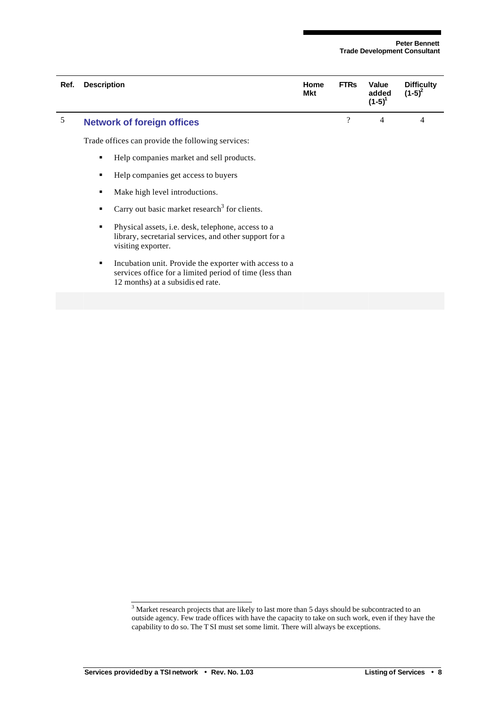| Ref. | <b>Description</b> |                                                                                                                                                        | Home<br><b>Mkt</b> | <b>FTRs</b> | Value<br>added<br>$(1-5)^{1}$ | <b>Difficulty</b><br>$(1-5)^2$ |
|------|--------------------|--------------------------------------------------------------------------------------------------------------------------------------------------------|--------------------|-------------|-------------------------------|--------------------------------|
| 5    |                    | <b>Network of foreign offices</b>                                                                                                                      |                    | $\gamma$    | $\overline{4}$                | 4                              |
|      |                    | Trade offices can provide the following services:                                                                                                      |                    |             |                               |                                |
|      | ٠                  | Help companies market and sell products.                                                                                                               |                    |             |                               |                                |
|      | ٠                  | Help companies get access to buyers                                                                                                                    |                    |             |                               |                                |
|      | ٠                  | Make high level introductions.                                                                                                                         |                    |             |                               |                                |
|      | ٠                  | Carry out basic market research <sup>3</sup> for clients.                                                                                              |                    |             |                               |                                |
|      | ٠                  | Physical assets, <i>i.e.</i> desk, telephone, access to a<br>library, secretarial services, and other support for a<br>visiting exporter.              |                    |             |                               |                                |
|      | ٠                  | Incubation unit. Provide the exporter with access to a<br>services office for a limited period of time (less than<br>12 months) at a subsidis ed rate. |                    |             |                               |                                |
|      |                    |                                                                                                                                                        |                    |             |                               |                                |

<sup>&</sup>lt;sup>3</sup> Market research projects that are likely to last more than 5 days should be subcontracted to an outside agency. Few trade offices with have the capacity to take on such work, even if they have the capability to do so. The T SI must set some limit. There will always be exceptions.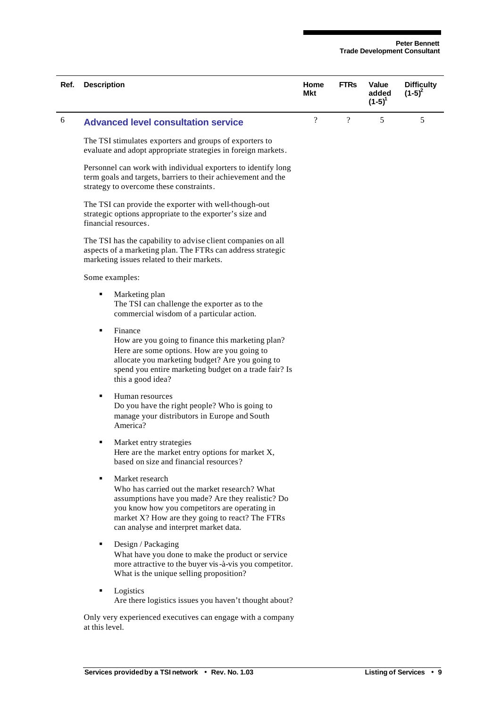| Ref. | <b>Description</b> |                                                                                                                                                                                                                                                                     | Home<br>Mkt                | <b>FTRs</b>    | Value<br>added<br>$(1-5)^{1}$ | <b>Difficulty</b><br>$(1-5)^2$ |
|------|--------------------|---------------------------------------------------------------------------------------------------------------------------------------------------------------------------------------------------------------------------------------------------------------------|----------------------------|----------------|-------------------------------|--------------------------------|
| 6    |                    | <b>Advanced level consultation service</b>                                                                                                                                                                                                                          | $\boldsymbol{\mathcal{P}}$ | $\overline{?}$ | 5                             | 5                              |
|      |                    | The TSI stimulates exporters and groups of exporters to<br>evaluate and adopt appropriate strategies in foreign markets.                                                                                                                                            |                            |                |                               |                                |
|      |                    | Personnel can work with individual exporters to identify long<br>term goals and targets, barriers to their achievement and the<br>strategy to overcome these constraints.                                                                                           |                            |                |                               |                                |
|      |                    | The TSI can provide the exporter with well-though-out<br>strategic options appropriate to the exporter's size and<br>financial resources.                                                                                                                           |                            |                |                               |                                |
|      |                    | The TSI has the capability to advise client companies on all<br>aspects of a marketing plan. The FTRs can address strategic<br>marketing issues related to their markets.                                                                                           |                            |                |                               |                                |
|      |                    | Some examples:                                                                                                                                                                                                                                                      |                            |                |                               |                                |
|      | ٠                  | Marketing plan<br>The TSI can challenge the exporter as to the<br>commercial wisdom of a particular action.                                                                                                                                                         |                            |                |                               |                                |
|      | ٠                  | Finance<br>How are you going to finance this marketing plan?<br>Here are some options. How are you going to<br>allocate you marketing budget? Are you going to<br>spend you entire marketing budget on a trade fair? Is<br>this a good idea?                        |                            |                |                               |                                |
|      | ٠                  | Human resources<br>Do you have the right people? Who is going to<br>manage your distributors in Europe and South<br>America?                                                                                                                                        |                            |                |                               |                                |
|      | ٠                  | Market entry strategies<br>Here are the market entry options for market X,<br>based on size and financial resources?                                                                                                                                                |                            |                |                               |                                |
|      | ٠                  | Market research<br>Who has carried out the market research? What<br>assumptions have you made? Are they realistic? Do<br>you know how you competitors are operating in<br>market X? How are they going to react? The FTRs<br>can analyse and interpret market data. |                            |                |                               |                                |
|      | ٠                  | Design / Packaging<br>What have you done to make the product or service<br>more attractive to the buyer vis-à-vis you competitor.<br>What is the unique selling proposition?                                                                                        |                            |                |                               |                                |
|      | ٠                  | Logistics<br>Are there logistics issues you haven't thought about?                                                                                                                                                                                                  |                            |                |                               |                                |
|      | at this level.     | Only very experienced executives can engage with a company                                                                                                                                                                                                          |                            |                |                               |                                |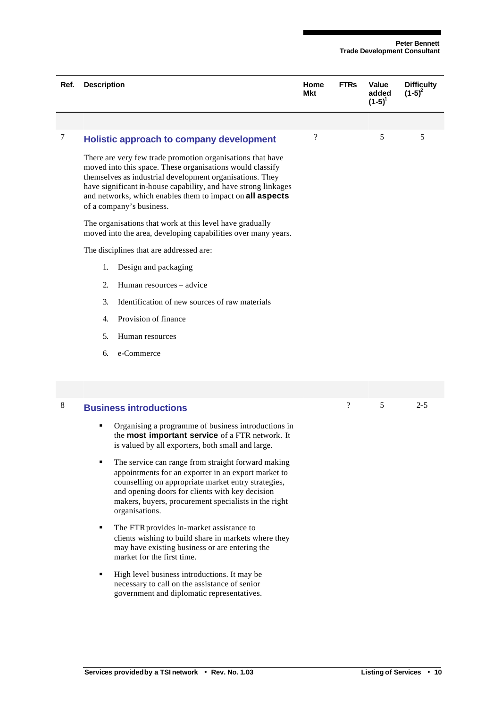| Ref. | <b>Description</b>                                                                                                                                                                                                                                                                                                                             | Home<br><b>Mkt</b> | <b>FTRs</b>        | Value<br>added<br>$(1-5)^{1}$ | <b>Difficulty</b><br>$(1-5)^2$ |
|------|------------------------------------------------------------------------------------------------------------------------------------------------------------------------------------------------------------------------------------------------------------------------------------------------------------------------------------------------|--------------------|--------------------|-------------------------------|--------------------------------|
|      |                                                                                                                                                                                                                                                                                                                                                |                    |                    |                               |                                |
| 7    | Holistic approach to company development                                                                                                                                                                                                                                                                                                       | $\gamma$           |                    | 5                             | 5                              |
|      | There are very few trade promotion organisations that have<br>moved into this space. These organisations would classify<br>themselves as industrial development organisations. They<br>have significant in-house capability, and have strong linkages<br>and networks, which enables them to impact on all aspects<br>of a company's business. |                    |                    |                               |                                |
|      | The organisations that work at this level have gradually<br>moved into the area, developing capabilities over many years.                                                                                                                                                                                                                      |                    |                    |                               |                                |
|      | The disciplines that are addressed are:                                                                                                                                                                                                                                                                                                        |                    |                    |                               |                                |
|      | 1.<br>Design and packaging                                                                                                                                                                                                                                                                                                                     |                    |                    |                               |                                |
|      | $\overline{2}$ .<br>Human resources – advice                                                                                                                                                                                                                                                                                                   |                    |                    |                               |                                |
|      | $\mathfrak{Z}$ .<br>Identification of new sources of raw materials                                                                                                                                                                                                                                                                             |                    |                    |                               |                                |
|      | Provision of finance<br>$\overline{4}$ .                                                                                                                                                                                                                                                                                                       |                    |                    |                               |                                |
|      | 5.<br>Human resources                                                                                                                                                                                                                                                                                                                          |                    |                    |                               |                                |
|      | e-Commerce<br>6.                                                                                                                                                                                                                                                                                                                               |                    |                    |                               |                                |
|      |                                                                                                                                                                                                                                                                                                                                                |                    |                    |                               |                                |
| 8    | <b>Business introductions</b>                                                                                                                                                                                                                                                                                                                  |                    | $\overline{\cdot}$ | 5                             | $2 - 5$                        |

- **•** Organising a programme of business introductions in the **most important service** of a FTR network. It is valued by all exporters, both small and large.
- The service can range from straight forward making appointments for an exporter in an export market to counselling on appropriate market entry strategies, and opening doors for clients with key decision makers, buyers, procurement specialists in the right organisations.
- The FTR provides in-market assistance to clients wishing to build share in markets where they may have existing business or are entering the market for the first time.
- $\blacksquare$  High level business introductions. It may be necessary to call on the assistance of senior government and diplomatic representatives.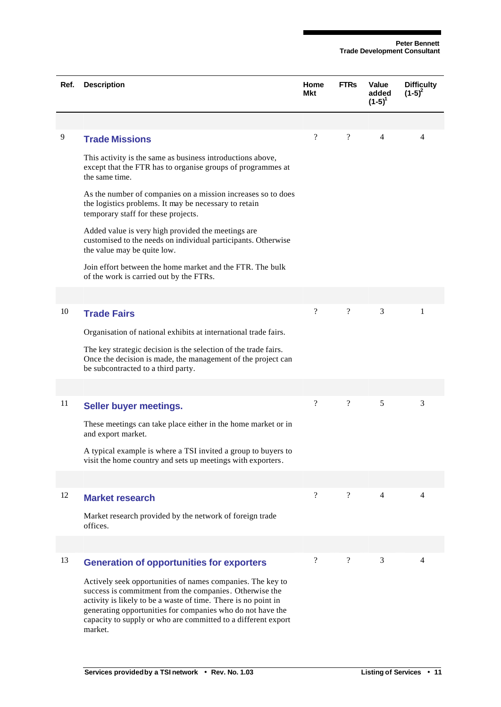| Ref. | <b>Description</b>                                                                                                                                                                                                                                                                                                                | Home<br>Mkt              | <b>FTRs</b>              | Value<br>added<br>$(1-5)^{1}$ | <b>Difficulty</b><br>$(1-5)^2$ |
|------|-----------------------------------------------------------------------------------------------------------------------------------------------------------------------------------------------------------------------------------------------------------------------------------------------------------------------------------|--------------------------|--------------------------|-------------------------------|--------------------------------|
|      |                                                                                                                                                                                                                                                                                                                                   |                          |                          |                               |                                |
| 9    | <b>Trade Missions</b>                                                                                                                                                                                                                                                                                                             | $\gamma$                 | $\gamma$                 | 4                             | 4                              |
|      | This activity is the same as business introductions above,<br>except that the FTR has to organise groups of programmes at<br>the same time.                                                                                                                                                                                       |                          |                          |                               |                                |
|      | As the number of companies on a mission increases so to does<br>the logistics problems. It may be necessary to retain<br>temporary staff for these projects.                                                                                                                                                                      |                          |                          |                               |                                |
|      | Added value is very high provided the meetings are<br>customised to the needs on individual participants. Otherwise<br>the value may be quite low.                                                                                                                                                                                |                          |                          |                               |                                |
|      | Join effort between the home market and the FTR. The bulk<br>of the work is carried out by the FTRs.                                                                                                                                                                                                                              |                          |                          |                               |                                |
|      |                                                                                                                                                                                                                                                                                                                                   |                          |                          |                               |                                |
| 10   | <b>Trade Fairs</b>                                                                                                                                                                                                                                                                                                                | $\overline{\mathcal{L}}$ | $\overline{\cdot}$       | 3                             | 1                              |
|      | Organisation of national exhibits at international trade fairs.                                                                                                                                                                                                                                                                   |                          |                          |                               |                                |
|      | The key strategic decision is the selection of the trade fairs.<br>Once the decision is made, the management of the project can<br>be subcontracted to a third party.                                                                                                                                                             |                          |                          |                               |                                |
|      |                                                                                                                                                                                                                                                                                                                                   |                          |                          |                               |                                |
| 11   | Seller buyer meetings.                                                                                                                                                                                                                                                                                                            | $\overline{\mathcal{L}}$ | $\gamma$                 | 5                             | 3                              |
|      | These meetings can take place either in the home market or in<br>and export market.                                                                                                                                                                                                                                               |                          |                          |                               |                                |
|      | A typical example is where a TSI invited a group to buyers to<br>visit the home country and sets up meetings with exporters.                                                                                                                                                                                                      |                          |                          |                               |                                |
|      |                                                                                                                                                                                                                                                                                                                                   |                          |                          |                               |                                |
| 12   | <b>Market research</b>                                                                                                                                                                                                                                                                                                            | $\overline{\mathcal{L}}$ | $\overline{\mathcal{L}}$ | 4                             | $\overline{4}$                 |
|      | Market research provided by the network of foreign trade<br>offices.                                                                                                                                                                                                                                                              |                          |                          |                               |                                |
|      |                                                                                                                                                                                                                                                                                                                                   |                          |                          |                               |                                |
| 13   | <b>Generation of opportunities for exporters</b>                                                                                                                                                                                                                                                                                  | $\gamma$                 | $\overline{?}$           | 3                             | 4                              |
|      | Actively seek opportunities of names companies. The key to<br>success is commitment from the companies. Otherwise the<br>activity is likely to be a waste of time. There is no point in<br>generating opportunities for companies who do not have the<br>capacity to supply or who are committed to a different export<br>market. |                          |                          |                               |                                |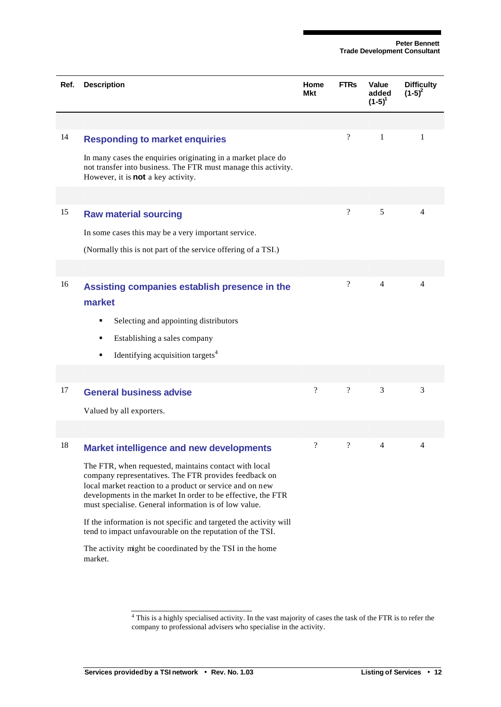| Ref. | <b>Description</b>                                                                                                                                                                                                                                                                                  | Home<br>Mkt              | <b>FTRs</b>        | Value<br>added<br>$(1-5)^{1}$ | <b>Difficulty</b><br>$(1-5)^2$ |
|------|-----------------------------------------------------------------------------------------------------------------------------------------------------------------------------------------------------------------------------------------------------------------------------------------------------|--------------------------|--------------------|-------------------------------|--------------------------------|
|      |                                                                                                                                                                                                                                                                                                     |                          |                    |                               |                                |
| 14   | <b>Responding to market enquiries</b>                                                                                                                                                                                                                                                               |                          | $\overline{\cdot}$ | $\mathbf{1}$                  | 1                              |
|      | In many cases the enquiries originating in a market place do<br>not transfer into business. The FTR must manage this activity.<br>However, it is <b>not</b> a key activity.                                                                                                                         |                          |                    |                               |                                |
|      |                                                                                                                                                                                                                                                                                                     |                          |                    |                               |                                |
| 15   | <b>Raw material sourcing</b>                                                                                                                                                                                                                                                                        |                          | $\boldsymbol{?}$   | 5                             | 4                              |
|      | In some cases this may be a very important service.                                                                                                                                                                                                                                                 |                          |                    |                               |                                |
|      | (Normally this is not part of the service offering of a TSI.)                                                                                                                                                                                                                                       |                          |                    |                               |                                |
|      |                                                                                                                                                                                                                                                                                                     |                          |                    |                               |                                |
| 16   | Assisting companies establish presence in the<br>market                                                                                                                                                                                                                                             |                          | $\boldsymbol{?}$   | $\overline{4}$                | 4                              |
|      | Selecting and appointing distributors<br>٠                                                                                                                                                                                                                                                          |                          |                    |                               |                                |
|      | Establishing a sales company<br>٠                                                                                                                                                                                                                                                                   |                          |                    |                               |                                |
|      | Identifying acquisition targets <sup>4</sup><br>٠                                                                                                                                                                                                                                                   |                          |                    |                               |                                |
|      |                                                                                                                                                                                                                                                                                                     |                          |                    |                               |                                |
| 17   | <b>General business advise</b>                                                                                                                                                                                                                                                                      | $\gamma$                 | $\overline{?}$     | 3                             | 3                              |
|      | Valued by all exporters.                                                                                                                                                                                                                                                                            |                          |                    |                               |                                |
|      |                                                                                                                                                                                                                                                                                                     |                          |                    |                               |                                |
| 18   | <b>Market intelligence and new developments</b>                                                                                                                                                                                                                                                     | $\overline{\mathcal{L}}$ | $\overline{\cdot}$ | 4                             | 4                              |
|      | The FTR, when requested, maintains contact with local<br>company representatives. The FTR provides feedback on<br>local market reaction to a product or service and on new<br>developments in the market In order to be effective, the FTR<br>must specialise. General information is of low value. |                          |                    |                               |                                |
|      | If the information is not specific and targeted the activity will<br>tend to impact unfavourable on the reputation of the TSI.                                                                                                                                                                      |                          |                    |                               |                                |
|      | The activity might be coordinated by the TSI in the home<br>market.                                                                                                                                                                                                                                 |                          |                    |                               |                                |

 $4$  This is a highly specialised activity. In the vast majority of cases the task of the FTR is to refer the company to professional advisers who specialise in the activity.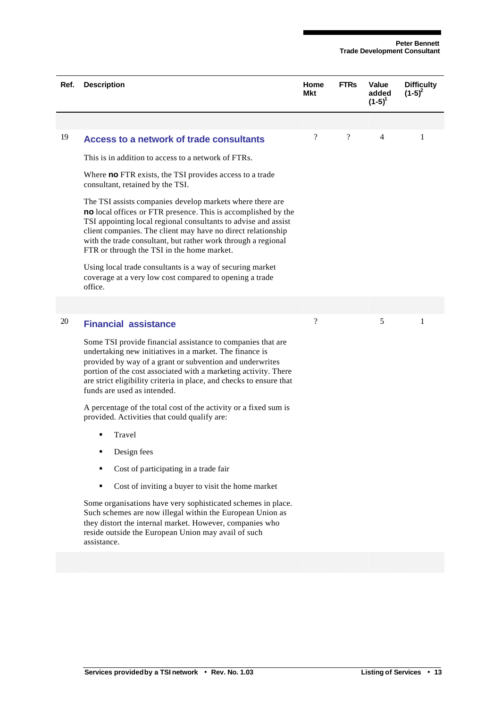| Ref. | <b>Description</b>                                                                                                                                                                                                                                                                                                                                                          | Home<br>Mkt              | <b>FTRs</b> | Value<br>added | <b>Difficulty</b><br>$(1-5)^2$ |
|------|-----------------------------------------------------------------------------------------------------------------------------------------------------------------------------------------------------------------------------------------------------------------------------------------------------------------------------------------------------------------------------|--------------------------|-------------|----------------|--------------------------------|
|      |                                                                                                                                                                                                                                                                                                                                                                             |                          |             | $(1-5)^{1}$    |                                |
|      |                                                                                                                                                                                                                                                                                                                                                                             |                          |             |                |                                |
| 19   | Access to a network of trade consultants                                                                                                                                                                                                                                                                                                                                    | $\overline{\mathcal{C}}$ | $\gamma$    | 4              | 1                              |
|      | This is in addition to access to a network of FTRs.                                                                                                                                                                                                                                                                                                                         |                          |             |                |                                |
|      | Where <b>no</b> FTR exists, the TSI provides access to a trade<br>consultant, retained by the TSI.                                                                                                                                                                                                                                                                          |                          |             |                |                                |
|      | The TSI assists companies develop markets where there are<br>no local offices or FTR presence. This is accomplished by the<br>TSI appointing local regional consultants to advise and assist<br>client companies. The client may have no direct relationship<br>with the trade consultant, but rather work through a regional<br>FTR or through the TSI in the home market. |                          |             |                |                                |
|      | Using local trade consultants is a way of securing market<br>coverage at a very low cost compared to opening a trade<br>office.                                                                                                                                                                                                                                             |                          |             |                |                                |
|      |                                                                                                                                                                                                                                                                                                                                                                             |                          |             |                |                                |
| 20   | <b>Financial assistance</b>                                                                                                                                                                                                                                                                                                                                                 | ?                        |             | 5              | 1                              |
|      | Some TSI provide financial assistance to companies that are<br>undertaking new initiatives in a market. The finance is<br>provided by way of a grant or subvention and underwrites<br>portion of the cost associated with a marketing activity. There<br>are strict eligibility criteria in place, and checks to ensure that<br>funds are used as intended.                 |                          |             |                |                                |
|      | A percentage of the total cost of the activity or a fixed sum is<br>provided. Activities that could qualify are:                                                                                                                                                                                                                                                            |                          |             |                |                                |
|      | Travel<br>٠                                                                                                                                                                                                                                                                                                                                                                 |                          |             |                |                                |
|      | Design fees<br>٠                                                                                                                                                                                                                                                                                                                                                            |                          |             |                |                                |
|      | Cost of participating in a trade fair                                                                                                                                                                                                                                                                                                                                       |                          |             |                |                                |
|      | Cost of inviting a buyer to visit the home market<br>٠                                                                                                                                                                                                                                                                                                                      |                          |             |                |                                |
|      | Some organisations have very sophisticated schemes in place.<br>Such schemes are now illegal within the European Union as<br>they distort the internal market. However, companies who<br>reside outside the European Union may avail of such<br>assistance.                                                                                                                 |                          |             |                |                                |
|      |                                                                                                                                                                                                                                                                                                                                                                             |                          |             |                |                                |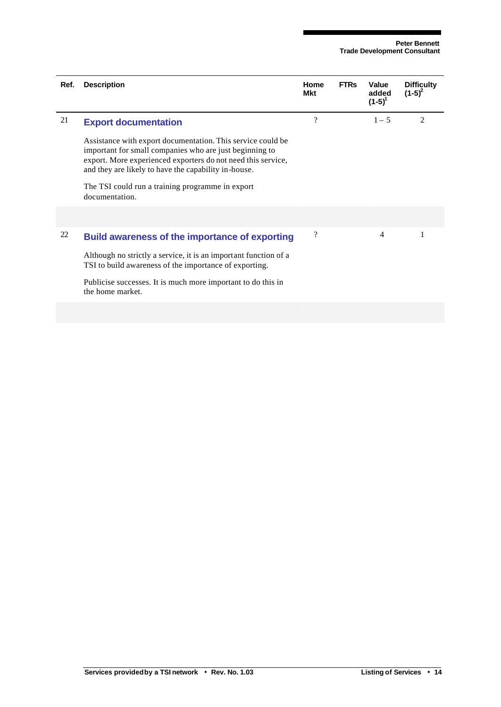| Ref. | <b>Description</b>                                                                                                                                                                                                                                                                                                   | Home<br>Mkt        | <b>FTRs</b> | Value<br>added<br>$(1-5)^{1}$ | <b>Difficulty</b><br>$(1-5)^2$ |
|------|----------------------------------------------------------------------------------------------------------------------------------------------------------------------------------------------------------------------------------------------------------------------------------------------------------------------|--------------------|-------------|-------------------------------|--------------------------------|
| 21   | <b>Export documentation</b>                                                                                                                                                                                                                                                                                          | ?                  |             | $1 - 5$                       | $\overline{c}$                 |
|      | Assistance with export documentation. This service could be<br>important for small companies who are just beginning to<br>export. More experienced exporters do not need this service,<br>and they are likely to have the capability in-house.<br>The TSI could run a training programme in export<br>documentation. |                    |             |                               |                                |
|      |                                                                                                                                                                                                                                                                                                                      |                    |             |                               |                                |
| 22   | <b>Build awareness of the importance of exporting</b><br>Although no strictly a service, it is an important function of a<br>TSI to build awareness of the importance of exporting.<br>Publicise successes. It is much more important to do this in<br>the home market.                                              | $\overline{\cdot}$ |             | 4                             | 1                              |
|      |                                                                                                                                                                                                                                                                                                                      |                    |             |                               |                                |